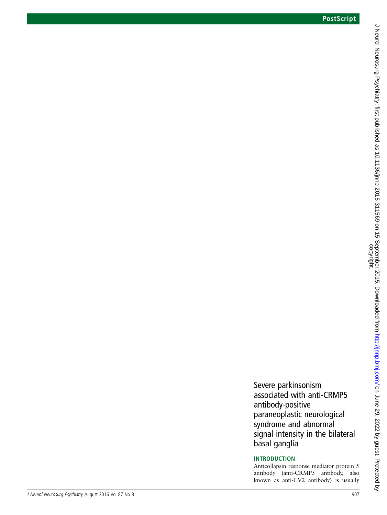Severe parkinsonism associated with anti-CRMP5 antibody-positive paraneoplastic neurological syndrome and abnormal signal intensity in the bilateral basal ganglia INTRODUCTION

Anticollapsin response mediator protein 5 antibody (anti-CRMP5 antibody, also known as anti-CV2 antibody) is usually

J Neurol Neurosurg Psychiatry: first published as 10.1136110.2015-311569 on 15 September 2015. Downloaded from http://jnnp.bmj.com/ on June 29, 2022 by guest. Protected by<br>copyright. J Neurol Neurosurg Psychiatry: first published as 10.1136/jnnp-2015-311569 on 15 September 2015. Downloaded from Downloaded from Downloaded from Downloaded from Downloaded from 2012. Dy guest. Protected by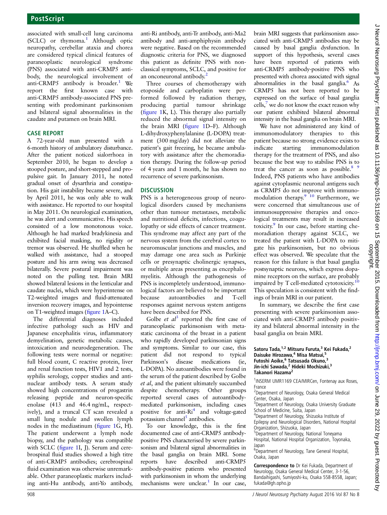associated with small-cell lung carcinoma (SCLC) or thymoma.<sup>1</sup> Although optic neuropathy, cerebellar ataxia and chorea are considered typical clinical features of paraneoplastic neurological syndrome (PNS) associated with anti-CRMP5 antibody, the neurological involvement of anti-CRMP5 antibody is broader.<sup>1</sup> We report the first known case with anti-CRMP5 antibody-associated PNS presenting with predominant parkinsonism and bilateral signal abnormalities in the caudate and putamen on brain MRI.

## CASE REPORT

A 72-year-old man presented with a 6-month history of ambulatory disturbance. After the patient noticed sialorrhoea in September 2010, he began to develop a stooped posture, and short-stepped and propulsive gait. In January 2011, he noted gradual onset of dysarthria and constipation. His gait instability became severe, and by April 2011, he was only able to walk with assistance. He reported to our hospital in May 2011. On neurological examination, he was alert and communicative. His speech consisted of a low monotonous voice. Although he had marked bradykinesia and exhibited facial masking, no rigidity or tremor was observed. He shuffled when he walked with assistance, had a stooped posture and his arm swing was decreased bilaterally. Severe postural impairment was noted on the pulling test. Brain MRI showed bilateral lesions in the lenticular and caudate nuclei, which were hyperintense on T2-weighted images and fluid-attenuated inversion recovery images, and hypointense on T1-weighted images (figure 1A–C).

The differential diagnoses included infective pathology such as HIV and Japanese encephalitis virus, inflammatory demyelination, genetic metabolic causes, intoxication and neurodegeneration. The following tests were normal or negative: full blood count, C reactive protein, liver and renal function tests, HIV1 and 2 tests, syphilis serology, copper studies and antinuclear antibody tests. A serum study showed high concentrations of progastrin releasing peptide and neuron-specific enolase (413 and 46.4 ng/mL, respectively), and a truncal CT scan revealed a small lung nodule and swollen lymph nodes in the mediastinum (figure 1G, H). The patient underwent a lymph node biopsy, and the pathology was compatible with SCLC (figure 1I, J). Serum and cerebrospinal fluid studies showed a high titre of anti-CRMP5 antibodies; cerebrospinal fluid examination was otherwise unremarkable. Other paraneoplastic markers including anti-Hu antibody, anti-Yo antibody,

anti-Ri antibody, anti-Tr antibody, anti-Ma2 antibody and anti-amphiphysin antibody were negative. Based on the recommended diagnostic criteria for PNS, we diagnosed this patient as definite PNS with nonclassical symptoms, SCLC, and positive for an onconeuronal antibody.<sup>2</sup>

Three courses of chemotherapy with etoposide and carboplatin were performed followed by radiation therapy, producing partial tumour shrinkage (figure 1K, L). This therapy also partially reduced the abnormal signal intensity on the brain MRI (figure 1D–F). Although L-dihydroxyphenylalanine (L-DOPA) treatment (300 mg/day) did not alleviate the patient's gait freezing, he became ambulatory with assistance after the chemoradiation therapy. During the follow-up period of 4 years and 1 month, he has shown no recurrence of severe parkinsonism.

### **DISCUSSION**

PNS is a heterogeneous group of neurological disorders caused by mechanisms other than tumour metastases, metabolic and nutritional deficits, infections, coagulopathy or side effects of cancer treatment. This syndrome may affect any part of the nervous system from the cerebral cortex to neuromuscular junctions and muscles, and may damage one area such as Purkinje cells or presynaptic cholinergic synapses, or multiple areas presenting as encephalomyelitis. Although the pathogenesis of PNS is incompletely understood, immunological factors are believed to be important because autoantibodies and T-cell responses against nervous system antigens have been described for PNS.

Golbe *et al*<sup>3</sup> reported the first case of paraneoplastic parkinsonism with metastatic carcinoma of the breast in a patient who rapidly developed parkinsonian signs and symptoms. Similar to our case, this patient did not respond to typical Parkinson's disease medications (ie, L-DOPA). No autoantibodies were found in the serum of the patient described by Golbe et al, and the patient ultimately succumbed despite chemotherapy. Other groups reported several cases of autoantibodymediated parkinsonism, including cases positive for anti- $Ri<sup>4</sup>$  and voltage-gated potassium channel $<sup>5</sup>$  antibodies.</sup>

To our knowledge, this is the first documented case of anti-CRMP5 antibodypositive PNS characterised by severe parkinsonism and bilateral signal abnormalities in the basal ganglia on brain MRI. Some reports have described anti-CRMP5 antibody-positive patients who presented with parkinsonism in whom the underlying mechanisms were unclear. $<sup>1</sup>$  In our case,</sup>

brain MRI suggests that parkinsonism associated with anti-CRMP5 antibodies may be caused by basal ganglia dysfunction. In support of this hypothesis, several cases have been reported of patients with anti-CRMP5 antibody-positive PNS who presented with chorea associated with signal abnormalities in the basal ganglia.<sup>6</sup> As CRMP5 has not been reported to be expressed on the surface of basal ganglia cells, $<sup>7</sup>$  we do not know the exact reason why</sup> our patient exhibited bilateral abnormal intensity in the basal ganglia on brain MRI.

We have not administered any kind of immunomodulatory therapies to this patient because no strong evidence exists to indicate starting immunomodulation therapy for the treatment of PNS, and also because the best way to stabilise PNS is to treat the cancer as soon as possible.<sup>8</sup>  $9$ Indeed, PNS patients who have antibodies against cytoplasmic neuronal antigens such as CRMP5 do not improve with immunomodulation therapy. $9^{10}$  Furthermore, we were concerned that simultaneous use of immunosuppressive therapies and oncological treatments may result in increased toxicity.9 In our case, before starting chemoradiation therapy against SCLC, we treated the patient with L-DOPA to mitigate his parkinsonism, but no obvious effect was observed. We speculate that the reason for this failure is that basal ganglia postsynaptic neurons, which express dopamine receptors on the surface, are probably impaired by T cell-mediated cytotoxicity.<sup>10</sup> This speculation is consistent with the findings of brain MRI in our patient.

In summary, we describe the first case presenting with severe parkinsonism associated with anti-CRMP5 antibody positivity and bilateral abnormal intensity in the basal ganglia on brain MRI.

#### Satoru Tada,<sup>1,2</sup> Mitsuru Furuta,<sup>3</sup> Kei Fukada,<sup>2</sup> Daisuke Hirozawa,<sup>4</sup> Misa Matsui, Futoshi Aoike,<sup>6</sup> Tatsusada Okuno,<sup>3</sup> Jin-ichi Sawada,<sup>2</sup> Hideki Mochizuki,<sup>3</sup> Takanori Hazama<sup>2</sup>

<sup>1</sup>INSERM UMR1169 CEA/MIRCen, Fontenay aux Roses, France

2 Department of Neurology, Osaka General Medical Center, Osaka, Japan

<sup>3</sup> Department of Neurology, Osaka University Graduate School of Medicine, Suita, Japan

4 Department of Neurology, Shizuoka Institute of Epilepsy and Neurological Disorders, National Hospital Organization, Shizuoka, Japan

5 Department of Neurology, National Toneyama Hospital, National Hospital Organization, Toyonaka, Japan

6 Department of Neurology, Tane General Hospital, Osaka, Japan

Correspondence to Dr Kei Fukada, Department of Neurology, Osaka General Medical Center, 3-1-56, Bandaihigashi, Sumiyoshi-ku, Osaka 558-8558, Japan; fukada@gh.opho.jp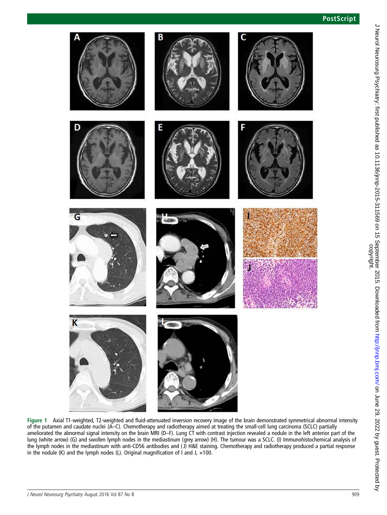# **PostScript**



Figure 1 Axial T1-weighted, T2-weighted and fluid-attenuated inversion recovery image of the brain demonstrated symmetrical abnormal intensity of the putamen and caudate nuclei (A–C). Chemotherapy and radiotherapy aimed at treating the small-cell lung carcinoma (SCLC) partially ameliorated the abnormal signal intensity on the brain MRI (D–F). Lung CT with contrast injection revealed a nodule in the left anterior part of the lung (white arrow) (G) and swollen lymph nodes in the mediastinum (grey arrow) (H). The tumour was a SCLC. (I) Immunohistochemical analysis of the lymph nodes in the mediastinum with anti-CD56 antibodies and ( J) H&E staining. Chemotherapy and radiotherapy produced a partial response in the nodule (K) and the lymph nodes (L). Original magnification of I and J,  $\times$ 100.